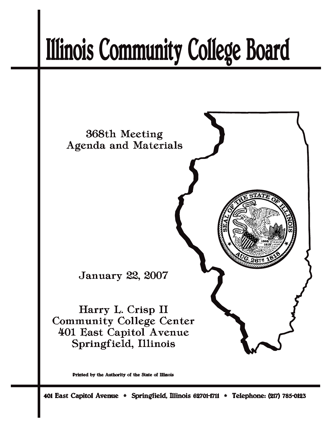# **Illinois Community College Board**



Printed by the Authority of the State of Illinois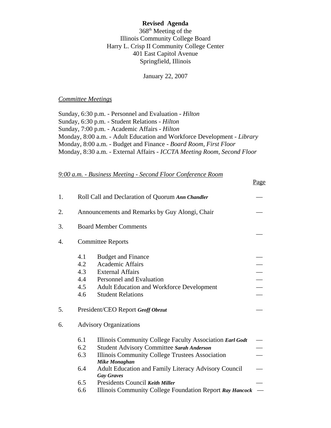#### **Revised Agenda**

368th Meeting of the Illinois Community College Board Harry L. Crisp II Community College Center 401 East Capitol Avenue Springfield, Illinois

January 22, 2007

#### *Committee Meetings*

Sunday, 6:30 p.m. - Personnel and Evaluation - *Hilton* Sunday, 6:30 p.m. - Student Relations - *Hilton* Sunday, 7:00 p.m. - Academic Affairs - *Hilton* Monday, 8:00 a.m. - Adult Education and Workforce Development - *Library* Monday, 8:00 a.m. - Budget and Finance - *Board Room, First Floor* Monday, 8:30 a.m. - External Affairs - *ICCTA Meeting Room, Second Floor*

 $D_{\alpha\alpha\alpha}$ 

#### *9:00 a.m. - Business Meeting - Second Floor Conference Room*

|    |                                                  |                                                                           | <u>rage</u> |  |  |
|----|--------------------------------------------------|---------------------------------------------------------------------------|-------------|--|--|
| 1. | Roll Call and Declaration of Quorum Ann Chandler |                                                                           |             |  |  |
| 2. |                                                  | Announcements and Remarks by Guy Alongi, Chair                            |             |  |  |
| 3. |                                                  | <b>Board Member Comments</b>                                              |             |  |  |
| 4. |                                                  | <b>Committee Reports</b>                                                  |             |  |  |
|    | 4.1                                              | <b>Budget and Finance</b>                                                 |             |  |  |
|    | 4.2                                              | <b>Academic Affairs</b>                                                   |             |  |  |
|    | 4.3                                              | <b>External Affairs</b>                                                   |             |  |  |
|    | 4.4                                              | Personnel and Evaluation                                                  |             |  |  |
|    | 4.5                                              | <b>Adult Education and Workforce Development</b>                          |             |  |  |
|    | 4.6                                              | <b>Student Relations</b>                                                  |             |  |  |
| 5. |                                                  | President/CEO Report Geoff Obrzut                                         |             |  |  |
| 6. |                                                  | <b>Advisory Organizations</b>                                             |             |  |  |
|    | 6.1                                              | Illinois Community College Faculty Association Earl Godt                  |             |  |  |
|    | 6.2                                              | Student Advisory Committee Sarah Anderson                                 |             |  |  |
|    | 6.3                                              | Illinois Community College Trustees Association<br><b>Mike Monaghan</b>   |             |  |  |
|    | 6.4                                              | Adult Education and Family Literacy Advisory Council<br><b>Gay Graves</b> |             |  |  |
|    | 6.5                                              | Presidents Council Keith Miller                                           |             |  |  |
|    | 6.6                                              | Illinois Community College Foundation Report Ray Hancock                  |             |  |  |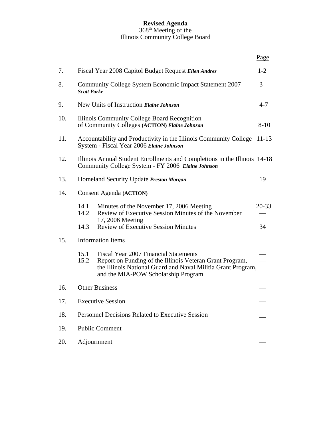#### **Revised Agenda**  $368<sup>th</sup>$  Meeting of the Illinois Community College Board

|     |                          |                                                                                                                                                                                                                 | Page      |  |  |
|-----|--------------------------|-----------------------------------------------------------------------------------------------------------------------------------------------------------------------------------------------------------------|-----------|--|--|
| 7.  |                          | Fiscal Year 2008 Capitol Budget Request Ellen Andres                                                                                                                                                            | $1 - 2$   |  |  |
| 8.  | <b>Scott Parke</b>       | Community College System Economic Impact Statement 2007                                                                                                                                                         | 3         |  |  |
| 9.  |                          | New Units of Instruction Elaine Johnson                                                                                                                                                                         | $4 - 7$   |  |  |
| 10. |                          | Illinois Community College Board Recognition<br>of Community Colleges (ACTION) Elaine Johnson                                                                                                                   | $8 - 10$  |  |  |
| 11. |                          | Accountability and Productivity in the Illinois Community College<br>System - Fiscal Year 2006 Elaine Johnson                                                                                                   | $11 - 13$ |  |  |
| 12. |                          | Illinois Annual Student Enrollments and Completions in the Illinois 14-18<br>Community College System - FY 2006 Elaine Johnson                                                                                  |           |  |  |
| 13. |                          | Homeland Security Update Preston Morgan                                                                                                                                                                         | 19        |  |  |
| 14. |                          | <b>Consent Agenda (ACTION)</b>                                                                                                                                                                                  |           |  |  |
|     | 14.1<br>14.2             | Minutes of the November 17, 2006 Meeting<br>Review of Executive Session Minutes of the November<br>17, 2006 Meeting                                                                                             | $20 - 33$ |  |  |
|     | 14.3                     | <b>Review of Executive Session Minutes</b>                                                                                                                                                                      | 34        |  |  |
| 15. | <b>Information Items</b> |                                                                                                                                                                                                                 |           |  |  |
|     | 15.1<br>15.2             | <b>Fiscal Year 2007 Financial Statements</b><br>Report on Funding of the Illinois Veteran Grant Program,<br>the Illinois National Guard and Naval Militia Grant Program,<br>and the MIA-POW Scholarship Program |           |  |  |
| 16. | <b>Other Business</b>    |                                                                                                                                                                                                                 |           |  |  |
| 17. |                          | <b>Executive Session</b>                                                                                                                                                                                        |           |  |  |
| 18. |                          | Personnel Decisions Related to Executive Session                                                                                                                                                                |           |  |  |
| 19. |                          | <b>Public Comment</b>                                                                                                                                                                                           |           |  |  |
| 20. |                          | Adjournment                                                                                                                                                                                                     |           |  |  |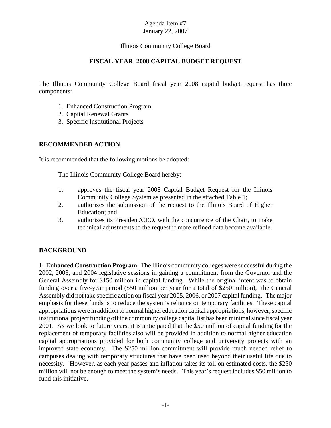## Illinois Community College Board

#### **FISCAL YEAR 2008 CAPITAL BUDGET REQUEST**

The Illinois Community College Board fiscal year 2008 capital budget request has three components:

- 1. Enhanced Construction Program
- 2. Capital Renewal Grants
- 3. Specific Institutional Projects

#### **RECOMMENDED ACTION**

It is recommended that the following motions be adopted:

The Illinois Community College Board hereby:

- 1. approves the fiscal year 2008 Capital Budget Request for the Illinois Community College System as presented in the attached Table 1;
- 2. authorizes the submission of the request to the Illinois Board of Higher Education; and
- 3. authorizes its President/CEO, with the concurrence of the Chair, to make technical adjustments to the request if more refined data become available.

## **BACKGROUND**

**1. Enhanced Construction Program**. The Illinois community colleges were successful during the 2002, 2003, and 2004 legislative sessions in gaining a commitment from the Governor and the General Assembly for \$150 million in capital funding. While the original intent was to obtain funding over a five-year period (\$50 million per year for a total of \$250 million), the General Assembly did not take specific action on fiscal year 2005, 2006, or 2007 capital funding. The major emphasis for these funds is to reduce the system's reliance on temporary facilities. These capital appropriations were in addition to normal higher education capital appropriations, however, specific institutional project funding off the community college capital list has been minimal since fiscal year 2001. As we look to future years, it is anticipated that the \$50 million of capital funding for the replacement of temporary facilities also will be provided in addition to normal higher education capital appropriations provided for both community college and university projects with an improved state economy. The \$250 million commitment will provide much needed relief to campuses dealing with temporary structures that have been used beyond their useful life due to necessity. However, as each year passes and inflation takes its toll on estimated costs, the \$250 million will not be enough to meet the system's needs. This year's request includes \$50 million to fund this initiative.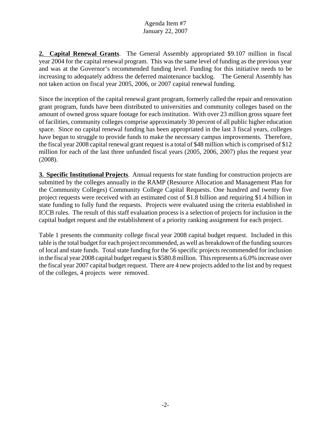**2. Capital Renewal Grants**. The General Assembly appropriated \$9.107 million in fiscal year 2004 for the capital renewal program. This was the same level of funding as the previous year and was at the Governor's recommended funding level. Funding for this initiative needs to be increasing to adequately address the deferred maintenance backlog. The General Assembly has not taken action on fiscal year 2005, 2006, or 2007 capital renewal funding.

Since the inception of the capital renewal grant program, formerly called the repair and renovation grant program, funds have been distributed to universities and community colleges based on the amount of owned gross square footage for each institution. With over 23 million gross square feet of facilities, community colleges comprise approximately 30 percent of all public higher education space. Since no capital renewal funding has been appropriated in the last 3 fiscal years, colleges have begun to struggle to provide funds to make the necessary campus improvements. Therefore, the fiscal year 2008 capital renewal grant request is a total of \$48 million which is comprised of \$12 million for each of the last three unfunded fiscal years (2005, 2006, 2007) plus the request year (2008).

**3. Specific Institutional Projects**. Annual requests for state funding for construction projects are submitted by the colleges annually in the RAMP (Resource Allocation and Management Plan for the Community Colleges) Community College Capital Requests. One hundred and twenty five project requests were received with an estimated cost of \$1.8 billion and requiring \$1.4 billion in state funding to fully fund the requests. Projects were evaluated using the criteria established in ICCB rules. The result of this staff evaluation process is a selection of projects for inclusion in the capital budget request and the establishment of a priority ranking assignment for each project.

Table 1 presents the community college fiscal year 2008 capital budget request. Included in this table is the total budget for each project recommended, as well as breakdown of the funding sources of local and state funds. Total state funding for the 56 specific projects recommended for inclusion in the fiscal year 2008 capital budget request is \$580.8 million. This represents a 6.0% increase over the fiscal year 2007 capital budget request. There are 4 new projects added to the list and by request of the colleges, 4 projects were removed.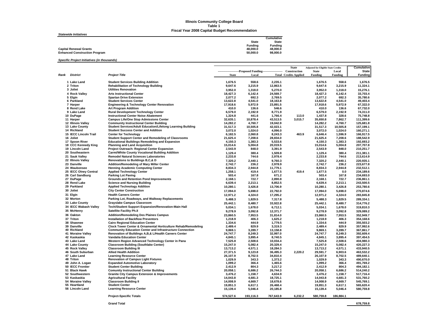#### **Illinois Community College Board Table 1 Fiscal Year 2008 Capital Budget Recommendation**

|  | <b>Statewide Initiatives</b> |  |
|--|------------------------------|--|
|  |                              |  |

|                                      |              | Cumulative   |
|--------------------------------------|--------------|--------------|
|                                      | <b>State</b> | <b>State</b> |
|                                      | Fundina      | Funding      |
| <b>Capital Renewal Grants</b>        | 48.000.0     | 48.000.0     |
| <b>Enhanced Construction Program</b> | 50.000.0     | 98.000.0     |
|                                      |              |              |

*Specific Project Initiatives (in thousands)*

|      |                                 |                                                                                                         |                      |                                                             |                      | <b>State</b>                 | <b>Adjusted for Eligible State Credits</b> |                    | <b>Cumulative</b>      |
|------|---------------------------------|---------------------------------------------------------------------------------------------------------|----------------------|-------------------------------------------------------------|----------------------|------------------------------|--------------------------------------------|--------------------|------------------------|
|      |                                 |                                                                                                         |                      | ----------------------Proposed Funding--------------------- |                      | Construction                 | <b>State</b>                               | Local              | <b>State</b>           |
| Rank | <b>District</b>                 | <b>Project Title</b>                                                                                    | <b>State</b>         | Local                                                       |                      | <b>Total Credits Applied</b> | <b>Funding</b>                             | <b>Funding</b>     | <b>Funding</b>         |
|      | 1 Lake Land                     | <b>Student Services Building Addition</b>                                                               | 1,676.5              | 558.6                                                       | 2.235.1              |                              | 1,676.5                                    | 558.6              | 1.676.5                |
|      | 2 Triton                        | <b>Rehabilitation of Technology Building</b>                                                            | 9,647.6              | 3,215.9                                                     | 12,863.5             |                              | 9,647.6                                    | 3,215.9            | 11,324.1               |
|      | 3 Joliet                        | <b>Utilities Renovation</b>                                                                             | 3,952.0              | 1,318.0                                                     | 5,270.0              |                              | 3,952.0                                    | 1,318.0            | 15,276.1               |
|      | 4 Rock Valley                   | <b>Arts Instructional Center</b>                                                                        | 18,427.3             | 6,142.4                                                     | 24,569.7             |                              | 18,427.3                                   | 6,142.4            | 33.703.4               |
|      | 5 Elgin                         | <b>Spartan Drive Extension</b>                                                                          | 2,077.2              | 692.3                                                       | 2,769.5              |                              | 2,077.2                                    | 692.3              | 35,780.6               |
|      | 6 Parkland                      | <b>Student Services Center</b>                                                                          | 13.622.8             | 4,541.0                                                     | 18,163.8             |                              | 13,622.8                                   | 4,541.0            | 49.403.4               |
|      | 7 Harper                        | <b>Engineering &amp; Technology Center Renovation</b>                                                   | 17,918.6             | 5,972.9                                                     | 23,891.5             |                              | 17,918.6                                   | 5,972.9            | 67,322.0               |
|      | 8 Rend Lake                     | <b>Art Program Addition</b>                                                                             | 410.0                | 136.6                                                       | 546.6                |                              | 410.0                                      | 136.6              | 67.732.0               |
|      | 9 Lake Land                     | <b>Rural Development Technology Center</b>                                                              | 6,579.0              | 2.192.9                                                     | 8,771.9              |                              | 6,579.0                                    | 2,192.9            | 74.311.0               |
|      | 10 DuPage                       | <b>Instructional Center Noise Abatement</b>                                                             | 1,324.8              | 441.6                                                       | 1,766.4              | 113.0                        | 1,437.8                                    | 328.6              | 75,748.8               |
|      | 11 Harper<br>12 Illinois Valley | <b>Campus Life/One Stop Admissions Center</b><br><b>Community Instructional Center Building</b>         | 32,635.1<br>14.282.2 | 10.878.4<br>4.760.7                                         | 43,513.5<br>19.042.9 | 3,015.7                      | 35,650.8<br>14.282.2                       | 7,862.7<br>4.760.7 | 111,399.6<br>125.681.8 |
|      | 13 Lake County                  | Student Services/Adult Education/Lifelong Learning Building                                             | 31,517.3             | 10,505.8                                                    | 42,023.1             |                              | 31,517.3                                   | 10,505.8           | 157,199.1              |
|      | 14 Richland                     | <b>Student Success Center and Addition</b>                                                              | 3,072.0              | 1,024.0                                                     | 4,096.0              |                              | 3,072.0                                    | 1,024.0            | 160,271.1              |
|      | 15 IECC Lincoln Trail           | <b>Center for Technology</b>                                                                            | 6,182.5              | 2,060.8                                                     | 8,243.3              | 463.9                        | 6,646.4                                    | 1,596.9            | 166,917.5              |
|      | 16 Joliet                       | <b>Student Support Center and Remodeling of Classrooms</b>                                              | 21,625.4             | 7,208.6                                                     | 28,834.0             |                              | 21,625.4                                   | 7,208.6            | 188,542.9              |
|      | 17 Spoon River                  | <b>Educational Buildings Remodeling and Expansion</b>                                                   | 4,150.3              | 1,383.3                                                     | 5,533.6              |                              | 4,150.3                                    | 1,383.3            | 192.693.2              |
|      | 18 CCC Kennedy King             | <b>Planning and Land Acquisition</b>                                                                    | 15,014.6             | 5,004.8                                                     | 20,019.5             |                              | 15,014.6                                   | 5,004.8            | 207,707.8              |
|      | 19 Lincoln Land                 | Project Outreach: Regional Center Expansion                                                             | 2,543.9              | 848.0                                                       | 3,391.9              |                              | 2,543.9                                    | 848.0              | 210,251.7              |
|      | 20 Southeastern                 | <b>Carmi/White County Vocational Building Addition</b>                                                  | 1,129.4              | 380.4                                                       | 1,509.8              |                              | 1.129.4                                    | 380.4              | 211.381.1              |
|      | 21 Sauk Valley                  | <b>Remodel Natural Sciences Laboratories</b>                                                            | 2,233.8              | 744.6                                                       | 2,978.4              |                              | 2,233.8                                    | 744.6              | 213,614.9              |
|      | 22 Illinois Valley              | Renovations to Buildings B,C,& D                                                                        | 7,320.2              | 2.440.1                                                     | 9,760.3              |                              | 7,320.2                                    | 2,440.1            | 220,935.1              |
|      | 23 Danville                     | Addition/Remodeling of Mary Miller Center                                                               | 2,742.7              | 236.2                                                       | 2,978.9              |                              | 2,742.7                                    | 236.2              | 223,677.8              |
|      | 24 Waubonsee                    | <b>Henning Academic Computing Center</b>                                                                | 8,834.3              | 2,944.8                                                     | 11,779.1             |                              | 8,834.3                                    | 2,944.8            | 232,512.1              |
|      | 25 IECC Olney Central           | <b>Applied Technology Center</b>                                                                        | 1.258.1              | 419.4                                                       | 1,677.5              | 419.4                        | 1.677.5                                    | 0.0                | 234.189.6              |
|      | 26 Carl Sandburg                | <b>Parking Lot Paving</b>                                                                               | 503.4                | 167.8                                                       | 671.2                |                              | 503.4                                      | 167.8              | 234,693.0              |
|      | 27 DuPage                       | <b>Grounds and Retention Pond Improvements</b>                                                          | 2,168.1              | 722.7                                                       | 2,890.8              |                              | 2,168.1                                    | 722.7              | 236,861.1              |
|      | 28 Rend Lake<br>29 Parkland     | <b>Science and Nursing Building</b>                                                                     | 6,639.4              | 2,213.1                                                     | 8,852.5              |                              | 6,639.4                                    | 2,213.1            | 243,500.5              |
|      |                                 | <b>Applied Technology Addition</b>                                                                      | 10,280.1             | 3,426.8                                                     | 13,706.9             |                              | 10,280.1                                   | 3,426.8            | 253,780.6              |
|      | 30 Joliet                       | <b>City Center Construction</b>                                                                         | 17,094.0             | 5,698.0                                                     | 22,792.0             |                              | 17,094.0                                   | 5,698.0            | 270,874.6              |
|      | 31 Elgin                        | <b>Health Careers Center</b>                                                                            | 12,971.2             | 4,324.0                                                     | 17,295.2             |                              | 12,971.2                                   | 4,324.0            | 283,845.8              |
|      | 32 Morton                       | Parking Lot, Roadways, and Walkway Replacements                                                         | 5,488.3              | 1,829.5                                                     | 7,317.8              |                              | 5,488.3                                    | 1,829.5            | 289,334.1              |
|      | 33 Lake County                  | <b>Grayslake Campus Classroom</b>                                                                       | 25,442.1             | 8,480.7                                                     | 33,922.8             |                              | 25,442.1                                   | 8,480.7            | 314,776.2              |
|      | 34 IECC Wabash Valley           | Tech/Student Support Expansion/Renovation-Main Hall                                                     | 5,034.1              | 1,678.0                                                     | 6,712.1              |                              | 5,034.1                                    | 1,678.0            | 319,810.3              |
|      | 35 McHenry                      | <b>Satellite Facility Ph.II</b>                                                                         | 9,278.9              | 3,092.8                                                     | 12,371.7             |                              | 9,278.9                                    | 3,092.8            | 329,089.2              |
|      | 36 Oakton                       | <b>Addition/Remodeling Des Plaines Campus</b>                                                           | 23,860.5             | 7,953.5                                                     | 31,814.0             |                              | 23,860.5                                   | 7,953.5            | 352,949.7              |
|      | 37 Triton                       | <b>Installation of Backflow Preventors</b>                                                              | 1,218.9              | 406.3                                                       | 1,625.2              |                              | 1,218.9                                    | 406.3              | 354.168.6              |
|      | 38 Shawnee<br>39 Danville       | <b>Cairo Regional Education Center</b><br>Clock Tower Center & Ornamental Horticulture Rehab/Remodeling | 1,334.6              | 444.9<br>829.9                                              | 1,779.5              |                              | 1,334.6                                    | 444.9              | 355,503.2<br>357.992.6 |
|      | 40 Richland                     | <b>Community Education Center and Infrastructure Connection</b>                                         | 2,489.4<br>9,869.1   | 3,289.7                                                     | 3,319.3<br>13,158.8  |                              | 2,489.4<br>9,869.1                         | 829.9<br>3,289.7   | 367,861.7              |
|      | 41 Moraine Valley               | Renovation of Buildings A,B,& L/Health Careers Center                                                   | 24,747.7             | 8,249.3                                                     | 32,997.0             |                              | 24,747.7                                   | 8,249.3            | 392,609.4              |
|      | 42 Kaskaskia                    | Vandalia Education Center                                                                               | 4,845.1              | 3,895.4                                                     | 8,740.5              |                              | 4,845.1                                    | 3,895.4            | 397,454.5              |
|      | 43 Lake Land                    | Western Region Advanced Technology Center in Pana                                                       | 7,525.8              | 2,508.6                                                     | 10,034.4             |                              | 7,525.8                                    | 2,508.6            | 404,980.3              |
|      | 44 Lake County                  | <b>Classroom Building (Southlake Center)</b>                                                            | 15,247.0             | 5,082.4                                                     | 20,329.4             |                              | 15,247.0                                   | 5,082.4            | 420.227.3              |
|      | 45 Rock Valley                  | <b>Classroom Building III</b>                                                                           | 13,713.2             | 4,571.1                                                     | 18,284.3             |                              | 13,713.2                                   | 4,571.1            | 433,940.5              |
|      | 46 South Suburban               | <b>Allied Health Addition</b>                                                                           | 27,371.5             | 9,123.8                                                     | 36,495.3             | 2,220.2                      | 29,591.7                                   | 6,903.6            | 463,532.2              |
|      | 47 Lake Land                    | <b>Learning Resource Center</b>                                                                         | 26,107.9             | 8,702.5                                                     | 34,810.4             |                              | 26,107.9                                   | 8,702.5            | 489,640.1              |
|      | 48 Triton                       | <b>Renovation of Campus Light Fixtures</b>                                                              | 1.029.9              | 343.3                                                       | 1,373.2              |                              | 1.029.9                                    | 343.3              | 490.670.0              |
|      | 49 John A. Logan                | <b>Expanded Automotive Laboratory</b>                                                                   | 1,099.2              | 366.4                                                       | 1,465.6              |                              | 1,099.2                                    | 366.4              | 491,769.2              |
|      | 50 IECC Frontier                | <b>Student Center Building</b>                                                                          | 2,412.9              | 804.3                                                       | 3,217.2              |                              | 2,412.9                                    | 804.3              | 494,182.1              |
|      | 51 Black Hawk                   | <b>Comunity Instructional Center Building</b>                                                           | 20.058.1             | 6.686.2                                                     | 26.744.3             |                              | 20.058.1                                   | 6,686.2            | 514.240.2              |
|      | 52 Southwestern<br>53 Kaskaskia | <b>Granite City Campus Extension &amp; Improvements</b><br><b>Agricultural Facility</b>                 | 3,476.2<br>14,043.8  | 1,158.7<br>4,681.3                                          | 4,634.9<br>18,725.1  |                              | 3,476.2<br>14,043.8                        | 1,158.7<br>4,681.3 | 517,716.4<br>531,760.2 |
|      | 54 Moraine Valley               | <b>Classroom Building II</b>                                                                            | 14.008.9             | 4.669.7                                                     | 18.678.6             |                              | 14.008.9                                   | 4.669.7            | 545.769.1              |
|      | 55 Heartland                    | <b>Student Center</b>                                                                                   | 19,851.3             | 6,617.1                                                     | 26,468.4             |                              | 19,851.3                                   | 6,617.1            | 565,620.4              |
|      | 56 Lincoln Land                 | <b>Learning Resource Center</b>                                                                         | 15,139.4             | 5,046.4                                                     | 20,185.8             |                              | 15,139.4                                   | 5,046.4            | 580,759.8              |
|      |                                 | <b>Project-Specific Totals</b>                                                                          | 574,527.6            | 193,116.3                                                   | 767,643.9            | 6,232.2                      | 580,759.8                                  | 186,884.1          |                        |

**Grand Total**

**678,759.8**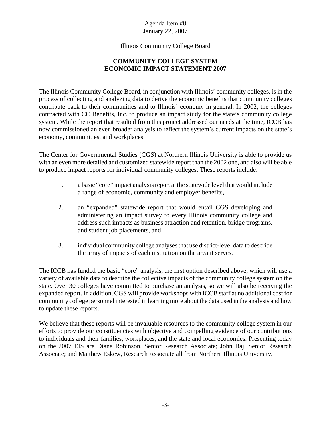#### Illinois Community College Board

# **COMMUNITY COLLEGE SYSTEM ECONOMIC IMPACT STATEMENT 2007**

The Illinois Community College Board, in conjunction with Illinois' community colleges, is in the process of collecting and analyzing data to derive the economic benefits that community colleges contribute back to their communities and to Illinois' economy in general. In 2002, the colleges contracted with CC Benefits, Inc. to produce an impact study for the state's community college system. While the report that resulted from this project addressed our needs at the time, ICCB has now commissioned an even broader analysis to reflect the system's current impacts on the state's economy, communities, and workplaces.

The Center for Governmental Studies (CGS) at Northern Illinois University is able to provide us with an even more detailed and customized statewide report than the 2002 one, and also will be able to produce impact reports for individual community colleges. These reports include:

- 1. a basic "core" impact analysis report at the statewide level that would include a range of economic, community and employer benefits,
- 2. an "expanded" statewide report that would entail CGS developing and administering an impact survey to every Illinois community college and address such impacts as business attraction and retention, bridge programs, and student job placements, and
- 3. individual community college analyses that use district-level data to describe the array of impacts of each institution on the area it serves.

The ICCB has funded the basic "core" analysis, the first option described above, which will use a variety of available data to describe the collective impacts of the community college system on the state. Over 30 colleges have committed to purchase an analysis, so we will also be receiving the expanded report. In addition, CGS will provide workshops with ICCB staff at no additional cost for community college personnel interested in learning more about the data used in the analysis and how to update these reports.

We believe that these reports will be invaluable resources to the community college system in our efforts to provide our constituencies with objective and compelling evidence of our contributions to individuals and their families, workplaces, and the state and local economies. Presenting today on the 2007 EIS are Diana Robinson, Senior Research Associate; John Baj, Senior Research Associate; and Matthew Eskew, Research Associate all from Northern Illinois University.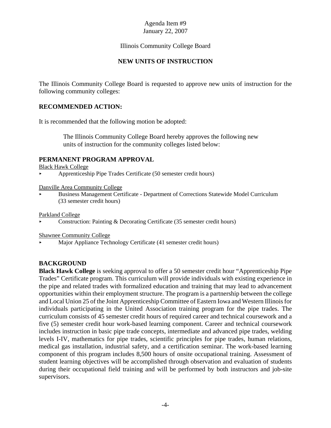## Illinois Community College Board

#### **NEW UNITS OF INSTRUCTION**

The Illinois Community College Board is requested to approve new units of instruction for the following community colleges:

#### **RECOMMENDED ACTION:**

It is recommended that the following motion be adopted:

 The Illinois Community College Board hereby approves the following new units of instruction for the community colleges listed below:

#### **PERMANENT PROGRAM APPROVAL**

Black Hawk College

< Apprenticeship Pipe Trades Certificate (50 semester credit hours)

Danville Area Community College

< Business Management Certificate - Department of Corrections Statewide Model Curriculum (33 semester credit hours)

Parkland College

< Construction: Painting & Decorating Certificate (35 semester credit hours)

Shawnee Community College

< Major Appliance Technology Certificate (41 semester credit hours)

## **BACKGROUND**

**Black Hawk College** is seeking approval to offer a 50 semester credit hour "Apprenticeship Pipe Trades" Certificate program. This curriculum will provide individuals with existing experience in the pipe and related trades with formalized education and training that may lead to advancement opportunities within their employment structure. The program is a partnership between the college and Local Union 25 of the Joint Apprenticeship Committee of Eastern Iowa and Western Illinois for individuals participating in the United Association training program for the pipe trades. The curriculum consists of 45 semester credit hours of required career and technical coursework and a five (5) semester credit hour work-based learning component. Career and technical coursework includes instruction in basic pipe trade concepts, intermediate and advanced pipe trades, welding levels I-IV, mathematics for pipe trades, scientific principles for pipe trades, human relations, medical gas installation, industrial safety, and a certification seminar. The work-based learning component of this program includes 8,500 hours of onsite occupational training. Assessment of student learning objectives will be accomplished through observation and evaluation of students during their occupational field training and will be performed by both instructors and job-site supervisors.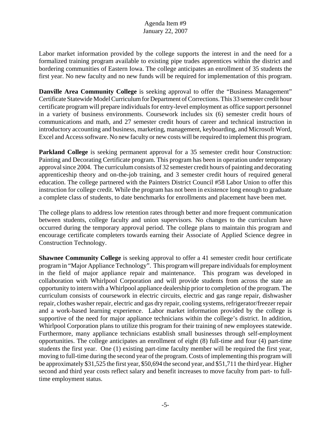Labor market information provided by the college supports the interest in and the need for a formalized training program available to existing pipe trades apprentices within the district and bordering communities of Eastern Iowa. The college anticipates an enrollment of 35 students the first year. No new faculty and no new funds will be required for implementation of this program.

**Danville Area Community College** is seeking approval to offer the "Business Management" Certificate Statewide Model Curriculum for Department of Corrections. This 33 semester credit hour certificate program will prepare individuals for entry-level employment as office support personnel in a variety of business environments. Coursework includes six (6) semester credit hours of communications and math, and 27 semester credit hours of career and technical instruction in introductory accounting and business, marketing, management, keyboarding, and Microsoft Word, Excel and Access software. No new faculty or new costs will be required to implement this program.

**Parkland College** is seeking permanent approval for a 35 semester credit hour Construction: Painting and Decorating Certificate program. This program has been in operation under temporary approval since 2004. The curriculum consists of 32 semester credit hours of painting and decorating apprenticeship theory and on-the-job training, and 3 semester credit hours of required general education. The college partnered with the Painters District Council #58 Labor Union to offer this instruction for college credit. While the program has not been in existence long enough to graduate a complete class of students, to date benchmarks for enrollments and placement have been met.

The college plans to address low retention rates through better and more frequent communication between students, college faculty and union supervisors. No changes to the curriculum have occurred during the temporary approval period. The college plans to maintain this program and encourage certificate completers towards earning their Associate of Applied Science degree in Construction Technology.

**Shawnee Community College** is seeking approval to offer a 41 semester credit hour certificate program in "Major Appliance Technology". This program will prepare individuals for employment in the field of major appliance repair and maintenance. This program was developed in collaboration with Whirlpool Corporation and will provide students from across the state an opportunity to intern with a Whirlpool appliance dealership prior to completion of the program. The curriculum consists of coursework in electric circuits, electric and gas range repair, dishwasher repair, clothes washer repair, electric and gas dry repair, cooling systems, refrigerator/freezer repair and a work-based learning experience. Labor market information provided by the college is supportive of the need for major appliance technicians within the college's district. In addition, Whirlpool Corporation plans to utilize this program for their training of new employees statewide. Furthermore, many appliance technicians establish small businesses through self-employment opportunities. The college anticipates an enrollment of eight (8) full-time and four (4) part-time students the first year. One (1) existing part-time faculty member will be required the first year, moving to full-time during the second year of the program. Costs of implementing this program will be approximately \$31,525 the first year, \$50,694 the second year, and \$51,711 the third year. Higher second and third year costs reflect salary and benefit increases to move faculty from part- to fulltime employment status.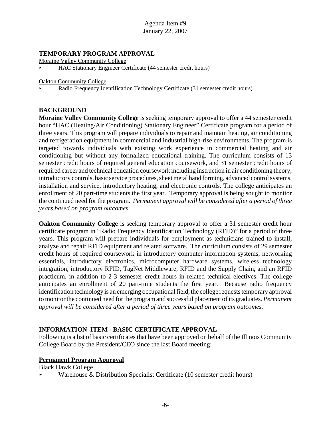#### **TEMPORARY PROGRAM APPROVAL**

Moraine Valley Community College

< HAC Stationary Engineer Certificate (44 semester credit hours)

Oakton Community College

< Radio Frequency Identification Technology Certificate (31 semester credit hours)

#### **BACKGROUND**

**Moraine Valley Community College** is seeking temporary approval to offer a 44 semester credit hour "HAC (Heating/Air Conditioning) Stationary Engineer" Certificate program for a period of three years. This program will prepare individuals to repair and maintain heating, air conditioning and refrigeration equipment in commercial and industrial high-rise environments. The program is targeted towards individuals with existing work experience in commercial heating and air conditioning but without any formalized educational training. The curriculum consists of 13 semester credit hours of required general education coursework, and 31 semester credit hours of required career and technical education coursework including instruction in air conditioning theory, introductory controls, basic service procedures, sheet metal hand forming, advanced control systems, installation and service, introductory heating, and electronic controls. The college anticipates an enrollment of 20 part-time students the first year. Temporary approval is being sought to monitor the continued need for the program. *Permanent approval will be considered after a period of three years based on program outcomes.* 

**Oakton Community College** is seeking temporary approval to offer a 31 semester credit hour certificate program in "Radio Frequency Identification Technology (RFID)" for a period of three years. This program will prepare individuals for employment as technicians trained to install, analyze and repair RFID equipment and related software. The curriculum consists of 29 semester credit hours of required coursework in introductory computer information systems, networking essentials, introductory electronics, microcomputer hardware systems, wireless technology integration, introductory RFID, TagNet Middleware, RFID and the Supply Chain, and an RFID practicum, in addition to 2-3 semester credit hours in related technical electives. The college anticipates an enrollment of 20 part-time students the first year. Because radio frequency identification technology is an emerging occupational field, the college requests temporary approval to monitor the continued need for the program and successful placement of its graduates. *Permanent approval will be considered after a period of three years based on program outcomes.* 

#### **INFORMATION ITEM - BASIC CERTIFICATE APPROVAL**

Following is a list of basic certificates that have been approved on behalf of the Illinois Community College Board by the President/CEO since the last Board meeting:

#### **Permanent Program Approval**

Black Hawk College

< Warehouse & Distribution Specialist Certificate (10 semester credit hours)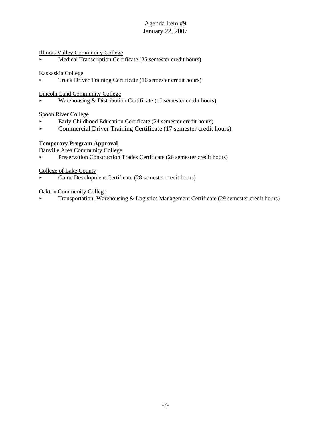#### Illinois Valley Community College

< Medical Transcription Certificate (25 semester credit hours)

Kaskaskia College

< Truck Driver Training Certificate (16 semester credit hours)

Lincoln Land Community College

< Warehousing & Distribution Certificate (10 semester credit hours)

Spoon River College

- < Early Childhood Education Certificate (24 semester credit hours)
- $\triangleright$  Commercial Driver Training Certificate (17 semester credit hours)

# **Temporary Program Approval**

Danville Area Community College

Preservation Construction Trades Certificate (26 semester credit hours)

College of Lake County

< Game Development Certificate (28 semester credit hours)

Oakton Community College

< Transportation, Warehousing & Logistics Management Certificate (29 semester credit hours)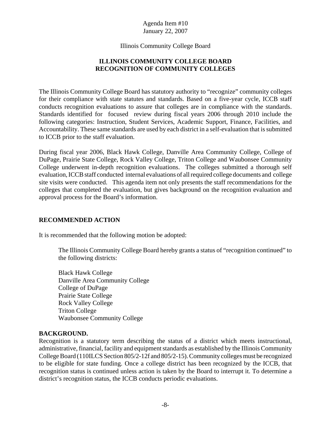Illinois Community College Board

# **ILLINOIS COMMUNITY COLLEGE BOARD RECOGNITION OF COMMUNITY COLLEGES**

The Illinois Community College Board has statutory authority to "recognize" community colleges for their compliance with state statutes and standards. Based on a five-year cycle, ICCB staff conducts recognition evaluations to assure that colleges are in compliance with the standards. Standards identified for focused review during fiscal years 2006 through 2010 include the following categories: Instruction, Student Services, Academic Support, Finance, Facilities, and Accountability. These same standards are used by each district in a self-evaluation that is submitted to ICCB prior to the staff evaluation.

During fiscal year 2006, Black Hawk College, Danville Area Community College, College of DuPage, Prairie State College, Rock Valley College, Triton College and Waubonsee Community College underwent in-depth recognition evaluations. The colleges submitted a thorough self evaluation, ICCB staff conducted internal evaluations of all required college documents and college site visits were conducted. This agenda item not only presents the staff recommendations for the colleges that completed the evaluation, but gives background on the recognition evaluation and approval process for the Board's information.

# **RECOMMENDED ACTION**

It is recommended that the following motion be adopted:

The Illinois Community College Board hereby grants a status of "recognition continued" to the following districts:

Black Hawk College Danville Area Community College College of DuPage Prairie State College Rock Valley College Triton College Waubonsee Community College

## **BACKGROUND.**

Recognition is a statutory term describing the status of a district which meets instructional, administrative, financial, facility and equipment standards as established by the Illinois Community College Board (110ILCS Section 805/2-12f and 805/2-15). Community colleges must be recognized to be eligible for state funding. Once a college district has been recognized by the ICCB, that recognition status is continued unless action is taken by the Board to interrupt it. To determine a district's recognition status, the ICCB conducts periodic evaluations.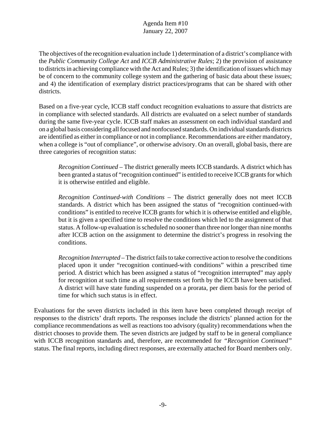The objectives of the recognition evaluation include 1) determination of a district's compliance with the *Public Community College Act* and *ICCB Administrative Rules*; 2) the provision of assistance to districts in achieving compliance with the Act and Rules; 3) the identification of issues which may be of concern to the community college system and the gathering of basic data about these issues; and 4) the identification of exemplary district practices/programs that can be shared with other districts.

Based on a five-year cycle, ICCB staff conduct recognition evaluations to assure that districts are in compliance with selected standards. All districts are evaluated on a select number of standards during the same five-year cycle. ICCB staff makes an assessment on each individual standard and on a global basis considering all focused and nonfocused standards. On individual standards districts are identified as either in compliance or not in compliance. Recommendations are either mandatory, when a college is "out of compliance", or otherwise advisory. On an overall, global basis, there are three categories of recognition status:

*Recognition Continued* – The district generally meets ICCB standards. A district which has been granted a status of "recognition continued" is entitled to receive ICCB grants for which it is otherwise entitled and eligible.

*Recognition Continued-with Conditions* – The district generally does not meet ICCB standards. A district which has been assigned the status of "recognition continued-with conditions" is entitled to receive ICCB grants for which it is otherwise entitled and eligible, but it is given a specified time to resolve the conditions which led to the assignment of that status. A follow-up evaluation is scheduled no sooner than three nor longer than nine months after ICCB action on the assignment to determine the district's progress in resolving the conditions.

*Recognition Interrupted* – The district fails to take corrective action to resolve the conditions placed upon it under "recognition continued-with conditions" within a prescribed time period. A district which has been assigned a status of "recognition interrupted" may apply for recognition at such time as all requirements set forth by the ICCB have been satisfied. A district will have state funding suspended on a prorata, per diem basis for the period of time for which such status is in effect.

Evaluations for the seven districts included in this item have been completed through receipt of responses to the districts' draft reports. The responses include the districts' planned action for the compliance recommendations as well as reactions too advisory (quality) recommendations when the district chooses to provide them. The seven districts are judged by staff to be in general compliance with ICCB recognition standards and, therefore, are recommended for *"Recognition Continued"* status. The final reports, including direct responses, are externally attached for Board members only.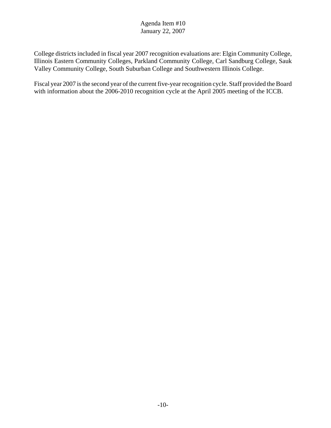College districts included in fiscal year 2007 recognition evaluations are: Elgin Community College, Illinois Eastern Community Colleges, Parkland Community College, Carl Sandburg College, Sauk Valley Community College, South Suburban College and Southwestern Illinois College.

Fiscal year 2007 is the second year of the current five-year recognition cycle. Staff provided the Board with information about the 2006-2010 recognition cycle at the April 2005 meeting of the ICCB.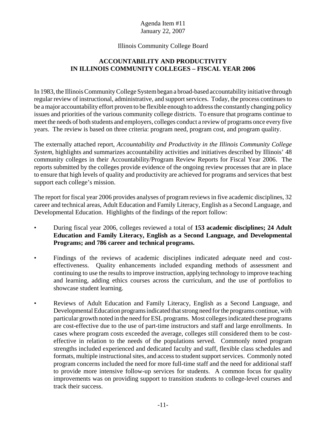## Illinois Community College Board

# **ACCOUNTABILITY AND PRODUCTIVITY IN ILLINOIS COMMUNITY COLLEGES – FISCAL YEAR 2006**

In 1983, the Illinois Community College System began a broad-based accountability initiative through regular review of instructional, administrative, and support services. Today, the process continues to be a major accountability effort proven to be flexible enough to address the constantly changing policy issues and priorities of the various community college districts. To ensure that programs continue to meet the needs of both students and employers, colleges conduct a review of programs once every five years. The review is based on three criteria: program need, program cost, and program quality.

The externally attached report, *Accountability and Productivity in the Illinois Community College System,* highlights and summarizes accountability activities and initiatives described by Illinois' 48 community colleges in their Accountability/Program Review Reports for Fiscal Year 2006. The reports submitted by the colleges provide evidence of the ongoing review processes that are in place to ensure that high levels of quality and productivity are achieved for programs and services that best support each college's mission.

The report for fiscal year 2006 provides analyses of program reviews in five academic disciplines, 32 career and technical areas, Adult Education and Family Literacy, English as a Second Language, and Developmental Education. Highlights of the findings of the report follow:

- During fiscal year 2006, colleges reviewed a total of **153 academic disciplines; 24 Adult Education and Family Literacy, English as a Second Language, and Developmental Programs; and 786 career and technical programs.**
- Findings of the reviews of academic disciplines indicated adequate need and costeffectiveness. Quality enhancements included expanding methods of assessment and continuing to use the results to improve instruction, applying technology to improve teaching and learning, adding ethics courses across the curriculum, and the use of portfolios to showcase student learning.
- Reviews of Adult Education and Family Literacy, English as a Second Language, and Developmental Education programs indicated that strong need for the programs continue, with particular growth noted in the need for ESL programs. Most colleges indicated these programs are cost-effective due to the use of part-time instructors and staff and large enrollments. In cases where program costs exceeded the average, colleges still considered them to be costeffective in relation to the needs of the populations served. Commonly noted program strengths included experienced and dedicated faculty and staff, flexible class schedules and formats, multiple instructional sites, and access to student support services. Commonly noted program concerns included the need for more full-time staff and the need for additional staff to provide more intensive follow-up services for students. A common focus for quality improvements was on providing support to transition students to college-level courses and track their success.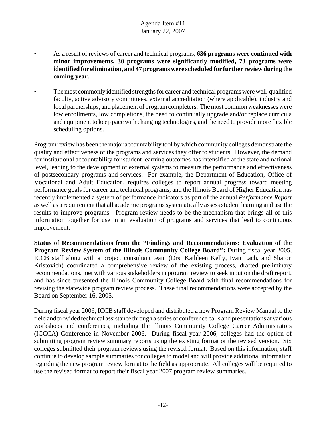- As a result of reviews of career and technical programs, **636 programs were continued with minor improvements, 30 programs were significantly modified, 73 programs were identified for elimination, and 47 programs were scheduled for further review during the coming year.**
- The most commonly identified strengths for career and technical programs were well-qualified faculty, active advisory committees, external accreditation (where applicable), industry and local partnerships, and placement of program completers. The most common weaknesses were low enrollments, low completions, the need to continually upgrade and/or replace curricula and equipment to keep pace with changing technologies, and the need to provide more flexible scheduling options.

Program review has been the major accountability tool by which community colleges demonstrate the quality and effectiveness of the programs and services they offer to students. However, the demand for institutional accountability for student learning outcomes has intensified at the state and national level, leading to the development of external systems to measure the performance and effectiveness of postsecondary programs and services. For example, the Department of Education, Office of Vocational and Adult Education, requires colleges to report annual progress toward meeting performance goals for career and technical programs, and the Illinois Board of Higher Education has recently implemented a system of performance indicators as part of the annual *Performance Report* as well as a requirement that all academic programs systematically assess student learning and use the results to improve programs. Program review needs to be the mechanism that brings all of this information together for use in an evaluation of programs and services that lead to continuous improvement.

**Status of Recommendations from the "Findings and Recommendations: Evaluation of the Program Review System of the Illinois Community College Board":** During fiscal year 2005, ICCB staff along with a project consultant team (Drs. Kathleen Kelly, Ivan Lach, and Sharon Kristovich) coordinated a comprehensive review of the existing process, drafted preliminary recommendations, met with various stakeholders in program review to seek input on the draft report, and has since presented the Illinois Community College Board with final recommendations for revising the statewide program review process. These final recommendations were accepted by the Board on September 16, 2005.

During fiscal year 2006, ICCB staff developed and distributed a new Program Review Manual to the field and provided technical assistance through a series of conference calls and presentations at various workshops and conferences, including the Illinois Community College Career Administrators (ICCCA) Conference in November 2006. During fiscal year 2006, colleges had the option of submitting program review summary reports using the existing format or the revised version. Six colleges submitted their program reviews using the revised format. Based on this information, staff continue to develop sample summaries for colleges to model and will provide additional information regarding the new program review format to the field as appropriate. All colleges will be required to use the revised format to report their fiscal year 2007 program review summaries.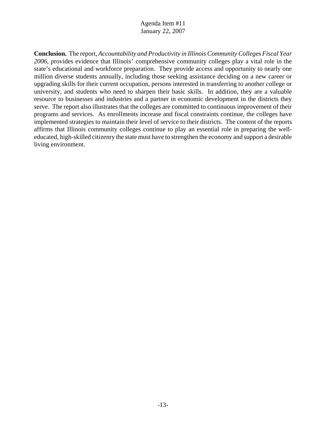**Conclusion.** The report, *Accountability and Productivity in Illinois Community Colleges Fiscal Year 2006*, provides evidence that Illinois' comprehensive community colleges play a vital role in the state's educational and workforce preparation. They provide access and opportunity to nearly one million diverse students annually, including those seeking assistance deciding on a new career or upgrading skills for their current occupation, persons interested in transferring to another college or university, and students who need to sharpen their basic skills. In addition, they are a valuable resource to businesses and industries and a partner in economic development in the districts they serve. The report also illustrates that the colleges are committed to continuous improvement of their programs and services. As enrollments increase and fiscal constraints continue, the colleges have implemented strategies to maintain their level of service to their districts. The content of the reports affirms that Illinois community colleges continue to play an essential role in preparing the welleducated, high-skilled citizenry the state must have to strengthen the economy and support a desirable living environment.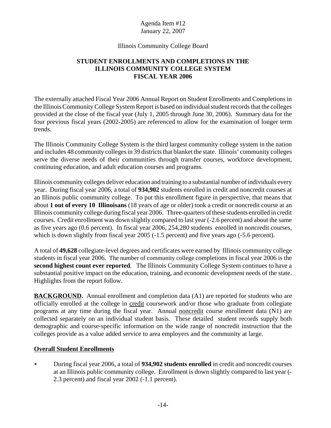#### Illinois Community College Board

# **STUDENT ENROLLMENTS AND COMPLETIONS IN THE ILLINOIS COMMUNITY COLLEGE SYSTEM FISCAL YEAR 2006**

The externally attached Fiscal Year 2006 Annual Report on Student Enrollments and Completions in the Illinois Community College System Report is based on individual student records that the colleges provided at the close of the fiscal year (July 1, 2005 through June 30, 2006). Summary data for the four previous fiscal years (2002-2005) are referenced to allow for the examination of longer term trends.

The Illinois Community College System is the third largest community college system in the nation and includes 48 community colleges in 39 districts that blanket the state. Illinois' community colleges serve the diverse needs of their communities through transfer courses, workforce development, continuing education, and adult education courses and programs.

Illinois community colleges deliver education and training to a substantial number of individuals every year. During fiscal year 2006, a total of **934,902** students enrolled in credit and noncredit courses at an Illinois public community college. To put this enrollment figure in perspective, that means that about **1 out of every 10 Illinoisans** (18 years of age or older) took a credit or noncredit course at an Illinois community college during fiscal year 2006. Three-quarters of these students enrolled in credit courses. Credit enrollment was down slightly compared to last year (-2.6 percent) and about the same as five years ago (0.6 percent). In fiscal year 2006, 254,280 students enrolled in noncredit courses, which is down slightly from fiscal year 2005 (-1.5 percent) and five years ago (-5.6 percent).

A total of **49,628** collegiate-level degrees and certificates were earned by Illinois community college students in fiscal year 2006. The number of community college completions in fiscal year 2006 is the **second highest count ever reported**. The Illinois Community College System continues to have a substantial positive impact on the education, training, and economic development needs of the state. Highlights from the report follow.

**BACKGROUND.** Annual enrollment and completion data (A1) are reported for students who are officially enrolled at the college in credit coursework and/or those who graduate from collegiate programs at any time during the fiscal year. Annual noncredit course enrollment data (N1) are collected separately on an individual student basis. These detailed student records supply both demographic and course-specific information on the wide range of noncredit instruction that the colleges provide as a value added service to area employers and the community at large.

## **Overall Student Enrollments**

< During fiscal year 2006, a total of **934,902 students enrolled** in credit and noncredit courses at an Illinois public community college. Enrollment is down slightly compared to last year (- 2.3 percent) and fiscal year 2002 (-1.1 percent).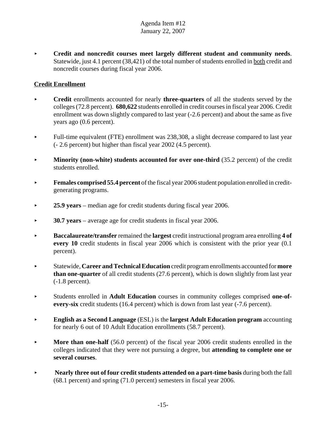< **Credit and noncredit courses meet largely different student and community needs**. Statewide, just 4.1 percent (38,421) of the total number of students enrolled in both credit and noncredit courses during fiscal year 2006.

# **Credit Enrollment**

- < **Credit** enrollments accounted for nearly **three-quarters** of all the students served by the colleges (72.8 percent). **680,622** students enrolled in credit courses in fiscal year 2006. Credit enrollment was down slightly compared to last year (-2.6 percent) and about the same as five years ago (0.6 percent).
- $\blacktriangleright$  Full-time equivalent (FTE) enrollment was 238,308, a slight decrease compared to last year (- 2.6 percent) but higher than fiscal year 2002 (4.5 percent).
- **Minority (non-white) students accounted for over one-third (35.2 percent) of the credit** students enrolled.
- **Females comprised 55.4 percent** of the fiscal year 2006 student population enrolled in creditgenerating programs.
- **25.9 years** median age for credit students during fiscal year 2006.
- ▶ **30.7 years** average age for credit students in fiscal year 2006.
- **Baccalaureate/transfer** remained the **largest** credit instructional program area enrolling 4 of **every 10** credit students in fiscal year 2006 which is consistent with the prior year (0.1 percent).
- < Statewide, **Career and Technical Education** credit program enrollments accounted for **more than one-quarter** of all credit students (27.6 percent), which is down slightly from last year (-1.8 percent).
- < Students enrolled in **Adult Education** courses in community colleges comprised **one-ofevery-six** credit students (16.4 percent) which is down from last year (-7.6 percent).
- < **English as a Second Language** (ESL) is the **largest Adult Education program** accounting for nearly 6 out of 10 Adult Education enrollments (58.7 percent).
- **More than one-half** (56.0 percent) of the fiscal year 2006 credit students enrolled in the colleges indicated that they were not pursuing a degree, but **attending to complete one or several courses**.
- **EXECUTE:** Nearly three out of four credit students attended on a part-time basis during both the fall (68.1 percent) and spring (71.0 percent) semesters in fiscal year 2006.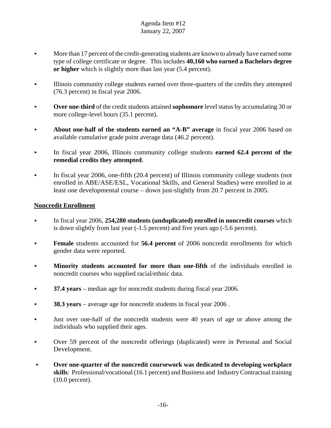- $\blacktriangleright$  More than 17 percent of the credit-generating students are known to already have earned some type of college certificate or degree. This includes **40,160 who earned a Bachelors degree or higher** which is slightly more than last year (5.4 percent).
- < Illinois community college students earned over three-quarters of the credits they attempted (76.3 percent) in fiscal year 2006.
- **Over one-third** of the credit students attained **sophomore** level status by accumulating 30 or more college-level hours (35.1 percent).
- About one-half of the students earned an "A-B" average in fiscal year 2006 based on available cumulative grade point average data (46.2 percent).
- In fiscal year 2006, Illinois community college students **earned 62.4 percent of the remedial credits they attempted**.
- $\blacktriangleright$  In fiscal year 2006, one-fifth (20.4 percent) of Illinois community college students (not enrolled in ABE/ASE/ESL, Vocational Skills, and General Studies) were enrolled in at least one developmental course – down just-slightly from 20.7 percent in 2005.

## **Noncredit Enrollment**

- **EXECUTE:** In fiscal year 2006, **254,280 students (unduplicated) enrolled in noncredit courses** which is down slightly from last year (-1.5 percent) and five years ago (-5.6 percent).
- **Female** students accounted for **56.4 percent** of 2006 noncredit enrollments for which gender data were reported.
- **Minority students accounted for more than one-fifth** of the individuals enrolled in noncredit courses who supplied racial/ethnic data.
- **► 37.4 years** median age for noncredit students during fiscal year 2006.
- ▶ **38.3 years** average age for noncredit students in fiscal year 2006.
- $\blacktriangleright$  Just over one-half of the noncredit students were 40 years of age or above among the individuals who supplied their ages.
- < Over 59 percent of the noncredit offerings (duplicated) were in Personal and Social Development.
- **FILTER 10 FILTER COVER OVER OVER ONE A LIGHTER COVER COVER ASSESSMENT COVER OPEN COVER OPEN DETAILLER COVER ASSESSMENT COVER ASSESSMENT COVER OPEN DETAILLER COVER AND LIGHTER COVER OPEN DETAILLER COVER OPEN DETAILLER COVE skills**: Professional/vocational (16.1 percent) and Business and Industry Contractual training (10.0 percent).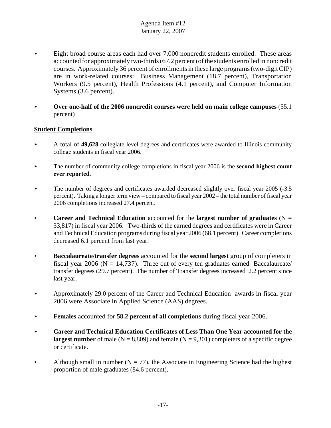- < Eight broad course areas each had over 7,000 noncredit students enrolled. These areas accounted for approximately two-thirds (67.2 percent) of the students enrolled in noncredit courses. Approximately 36 percent of enrollments in these large programs (two-digit CIP) are in work-related courses: Business Management (18.7 percent), Transportation Workers (9.5 percent), Health Professions (4.1 percent), and Computer Information Systems (3.6 percent).
- Over one-half of the 2006 noncredit courses were held on main college campuses (55.1) percent)

## **Student Completions**

- < A total of **49,628** collegiate-level degrees and certificates were awarded to Illinois community college students in fiscal year 2006.
- The number of community college completions in fiscal year 2006 is the **second highest count ever reported**.
- $\blacktriangleright$  The number of degrees and certificates awarded decreased slightly over fiscal year 2005 (-3.5) percent). Taking a longer term view – compared to fiscal year 2002 – the total number of fiscal year 2006 completions increased 27.4 percent.
- **Career and Technical Education** accounted for the **largest number of graduates**  $(N =$ 33,817) in fiscal year 2006. Two-thirds of the earned degrees and certificates were in Career and Technical Education programs during fiscal year 2006 (68.1 percent). Career completions decreased 6.1 percent from last year.
- < **Baccalaureate/transfer degrees** accounted for the **second largest** group of completers in fiscal year 2006 ( $N = 14,737$ ). Three out of every ten graduates earned Baccalaureate/ transfer degrees (29.7 percent). The number of Transfer degrees increased 2.2 percent since last year.
- < Approximately 29.0 percent of the Career and Technical Education awards in fiscal year 2006 were Associate in Applied Science (AAS) degrees.
- **Females** accounted for **58.2 percent of all completions** during fiscal year 2006.
- **EXECUTE:** Career and Technical Education Certificates of Less Than One Year accounted for the **largest number** of male ( $N = 8,809$ ) and female ( $N = 9,301$ ) completers of a specific degree or certificate.
- Although small in number ( $N = 77$ ), the Associate in Engineering Science had the highest proportion of male graduates (84.6 percent).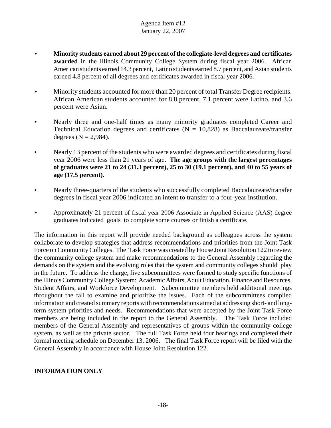- < **Minority students earned about 29 percent of the collegiate-level degrees and certificates awarded** in the Illinois Community College System during fiscal year 2006. African American students earned 14.3 percent, Latino students earned 8.7 percent, and Asian students earned 4.8 percent of all degrees and certificates awarded in fiscal year 2006.
- Minority students accounted for more than 20 percent of total Transfer Degree recipients. African American students accounted for 8.8 percent, 7.1 percent were Latino, and 3.6 percent were Asian.
- Nearly three and one-half times as many minority graduates completed Career and Technical Education degrees and certificates ( $N = 10,828$ ) as Baccalaureate/transfer degrees  $(N = 2,984)$ .
- Nearly 13 percent of the students who were awarded degrees and certificates during fiscal year 2006 were less than 21 years of age. **The age groups with the largest percentages of graduates were 21 to 24 (31.3 percent), 25 to 30 (19.1 percent), and 40 to 55 years of age (17.5 percent).**
- Nearly three-quarters of the students who successfully completed Baccalaureate/transfer degrees in fiscal year 2006 indicated an intent to transfer to a four-year institution.
- Approximately 21 percent of fiscal year 2006 Associate in Applied Science (AAS) degree graduates indicated goals to complete some courses or finish a certificate.

The information in this report will provide needed background as colleagues across the system collaborate to develop strategies that address recommendations and priorities from the Joint Task Force on Community Colleges. The Task Force was created by House Joint Resolution 122 to review the community college system and make recommendations to the General Assembly regarding the demands on the system and the evolving roles that the system and community colleges should play in the future. To address the charge, five subcommittees were formed to study specific functions of the Illinois Community College System: Academic Affairs, Adult Education, Finance and Resources, Student Affairs, and Workforce Development. Subcommittee members held additional meetings throughout the fall to examine and prioritize the issues. Each of the subcommittees compiled information and created summary reports with recommendations aimed at addressing short- and longterm system priorities and needs. Recommendations that were accepted by the Joint Task Force members are being included in the report to the General Assembly. The Task Force included members of the General Assembly and representatives of groups within the community college system, as well as the private sector. The full Task Force held four hearings and completed their formal meeting schedule on December 13, 2006. The final Task Force report will be filed with the General Assembly in accordance with House Joint Resolution 122.

## **INFORMATION ONLY**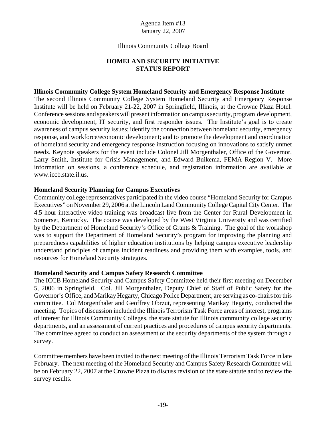#### Illinois Community College Board

# **HOMELAND SECURITY INITIATIVE STATUS REPORT**

#### **Illinois Community College System Homeland Security and Emergency Response Institute**

The second Illinois Community College System Homeland Security and Emergency Response Institute will be held on February 21-22, 2007 in Springfield, Illinois, at the Crowne Plaza Hotel. Conference sessions and speakers will present information on campus security, program development, economic development, IT security, and first responder issues. The Institute's goal is to create awareness of campus security issues; identify the connection between homeland security, emergency response, and workforce/economic development; and to promote the development and coordination of homeland security and emergency response instruction focusing on innovations to satisfy unmet needs. Keynote speakers for the event include Colonel Jill Morgenthaler, Office of the Governor, Larry Smith, Institute for Crisis Management, and Edward Buikema, FEMA Region V. More information on sessions, a conference schedule, and registration information are available at www.iccb.state.il.us.

#### **Homeland Security Planning for Campus Executives**

Community college representatives participated in the video course "Homeland Security for Campus Executives" on November 29, 2006 at the Lincoln Land Community College Capital City Center. The 4.5 hour interactive video training was broadcast live from the Center for Rural Development in Somerset, Kentucky. The course was developed by the West Virginia University and was certified by the Department of Homeland Security's Office of Grants & Training. The goal of the workshop was to support the Department of Homeland Security's program for improving the planning and preparedness capabilities of higher education institutions by helping campus executive leadership understand principles of campus incident readiness and providing them with examples, tools, and resources for Homeland Security strategies.

#### **Homeland Security and Campus Safety Research Committee**

The ICCB Homeland Security and Campus Safety Committee held their first meeting on December 5, 2006 in Springfield. Col. Jill Morgenthaler, Deputy Chief of Staff of Public Safety for the Governor's Office, and Marikay Hegarty, Chicago Police Department, are serving as co-chairs for this committee. Col Morgenthaler and Geoffrey Obrzut, representing Marikay Hegarty, conducted the meeting. Topics of discussion included the Illinois Terrorism Task Force areas of interest, programs of interest for Illinois Community Colleges, the state statute for Illinois community college security departments, and an assessment of current practices and procedures of campus security departments. The committee agreed to conduct an assessment of the security departments of the system through a survey.

Committee members have been invited to the next meeting of the Illinois Terrorism Task Force in late February. The next meeting of the Homeland Security and Campus Safety Research Committee will be on February 22, 2007 at the Crowne Plaza to discuss revision of the state statute and to review the survey results.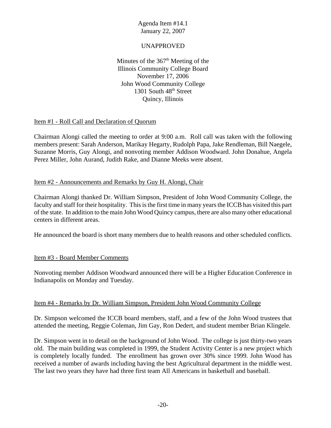## UNAPPROVED

Minutes of the  $367<sup>th</sup>$  Meeting of the Illinois Community College Board November 17, 2006 John Wood Community College 1301 South  $48<sup>th</sup>$  Street Quincy, Illinois

## Item #1 - Roll Call and Declaration of Quorum

Chairman Alongi called the meeting to order at 9:00 a.m. Roll call was taken with the following members present: Sarah Anderson, Marikay Hegarty, Rudolph Papa, Jake Rendleman, Bill Naegele, Suzanne Morris, Guy Alongi, and nonvoting member Addison Woodward. John Donahue, Angela Perez Miller, John Aurand, Judith Rake, and Dianne Meeks were absent.

#### Item #2 - Announcements and Remarks by Guy H. Alongi, Chair

Chairman Alongi thanked Dr. William Simpson, President of John Wood Community College, the faculty and staff for their hospitality. This is the first time in many years the ICCB has visited this part of the state. In addition to the main John Wood Quincy campus, there are also many other educational centers in different areas.

He announced the board is short many members due to health reasons and other scheduled conflicts.

## Item #3 - Board Member Comments

Nonvoting member Addison Woodward announced there will be a Higher Education Conference in Indianapolis on Monday and Tuesday.

#### Item #4 - Remarks by Dr. William Simpson, President John Wood Community College

Dr. Simpson welcomed the ICCB board members, staff, and a few of the John Wood trustees that attended the meeting, Reggie Coleman, Jim Gay, Ron Dedert, and student member Brian Klingele.

Dr. Simpson went in to detail on the background of John Wood. The college is just thirty-two years old. The main building was completed in 1999, the Student Activity Center is a new project which is completely locally funded. The enrollment has grown over 30% since 1999. John Wood has received a number of awards including having the best Agricultural department in the middle west. The last two years they have had three first team All Americans in basketball and baseball.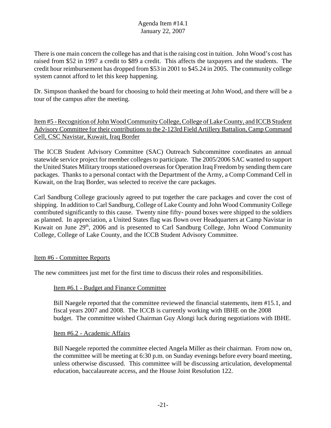There is one main concern the college has and that is the raising cost in tuition. John Wood's cost has raised from \$52 in 1997 a credit to \$89 a credit. This affects the taxpayers and the students. The credit hour reimbursement has dropped from \$53 in 2001 to \$45.24 in 2005. The community college system cannot afford to let this keep happening.

Dr. Simpson thanked the board for choosing to hold their meeting at John Wood, and there will be a tour of the campus after the meeting.

Item #5 - Recognition of John Wood Community College, College of Lake County, and ICCB Student Advisory Committee for their contributions to the 2-123rd Field Artillery Battalion, Camp Command Cell, CSC Navistar, Kuwait, Iraq Border

The ICCB Student Advisory Committee (SAC) Outreach Subcommittee coordinates an annual statewide service project for member colleges to participate. The 2005/2006 SAC wanted to support the United States Military troops stationed overseas for Operation Iraq Freedom by sending them care packages. Thanks to a personal contact with the Department of the Army, a Comp Command Cell in Kuwait, on the Iraq Border, was selected to receive the care packages.

Carl Sandburg College graciously agreed to put together the care packages and cover the cost of shipping. In addition to Carl Sandburg, College of Lake County and John Wood Community College contributed significantly to this cause. Twenty nine fifty- pound boxes were shipped to the soldiers as planned. In appreciation, a United States flag was flown over Headquarters at Camp Navistar in Kuwait on June  $29<sup>th</sup>$ , 2006 and is presented to Carl Sandburg College, John Wood Community College, College of Lake County, and the ICCB Student Advisory Committee.

## Item #6 - Committee Reports

The new committees just met for the first time to discuss their roles and responsibilities.

#### Item #6.1 - Budget and Finance Committee

Bill Naegele reported that the committee reviewed the financial statements, item #15.1, and fiscal years 2007 and 2008. The ICCB is currently working with IBHE on the 2008 budget. The committee wished Chairman Guy Alongi luck during negotiations with IBHE.

#### Item #6.2 - Academic Affairs

Bill Naegele reported the committee elected Angela Miller as their chairman. From now on, the committee will be meeting at 6:30 p.m. on Sunday evenings before every board meeting, unless otherwise discussed. This committee will be discussing articulation, developmental education, baccalaureate access, and the House Joint Resolution 122.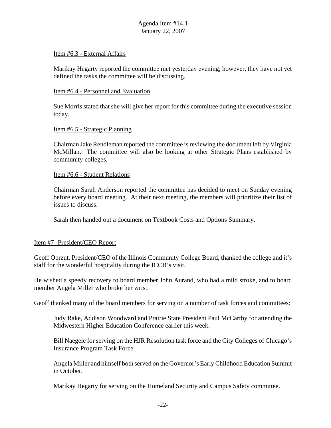#### Item #6.3 - External Affairs

Marikay Hegarty reported the committee met yesterday evening; however, they have not yet defined the tasks the committee will be discussing.

#### Item #6.4 - Personnel and Evaluation

Sue Morris stated that she will give her report for this committee during the executive session today.

#### Item #6.5 - Strategic Planning

Chairman Jake Rendleman reported the committee is reviewing the document left by Virginia McMillan. The committee will also be looking at other Strategic Plans established by community colleges.

#### Item #6.6 - Student Relations

Chairman Sarah Anderson reported the committee has decided to meet on Sunday evening before every board meeting. At their next meeting, the members will prioritize their list of issues to discuss.

Sarah then handed out a document on Textbook Costs and Options Summary.

## Item #7 -President/CEO Report

Geoff Obrzut, President/CEO of the Illinois Community College Board, thanked the college and it's staff for the wonderful hospitality during the ICCB's visit.

He wished a speedy recovery to board member John Aurand, who had a mild stroke, and to board member Angela Miller who broke her wrist.

Geoff thanked many of the board members for serving on a number of task forces and committees:

Judy Rake, Addison Woodward and Prairie State President Paul McCarthy for attending the Midwestern Higher Education Conference earlier this week.

Bill Naegele for serving on the HJR Resolution task force and the City Colleges of Chicago's Insurance Program Task Force.

Angela Miller and himself both served on the Governor's Early Childhood Education Summit in October.

Marikay Hegarty for serving on the Homeland Security and Campus Safety committee.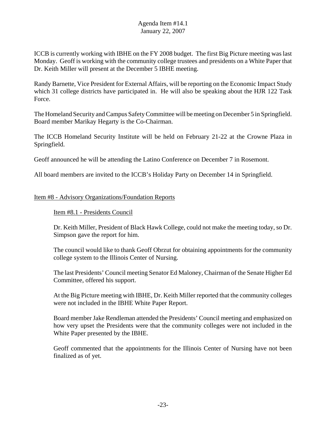ICCB is currently working with IBHE on the FY 2008 budget. The first Big Picture meeting was last Monday. Geoff is working with the community college trustees and presidents on a White Paper that Dr. Keith Miller will present at the December 5 IBHE meeting.

Randy Barnette, Vice President for External Affairs, will be reporting on the Economic Impact Study which 31 college districts have participated in. He will also be speaking about the HJR 122 Task Force.

The Homeland Security and Campus Safety Committee will be meeting on December 5 in Springfield. Board member Marikay Hegarty is the Co-Chairman.

The ICCB Homeland Security Institute will be held on February 21-22 at the Crowne Plaza in Springfield.

Geoff announced he will be attending the Latino Conference on December 7 in Rosemont.

All board members are invited to the ICCB's Holiday Party on December 14 in Springfield.

## Item #8 - Advisory Organizations/Foundation Reports

## Item #8.1 - Presidents Council

Dr. Keith Miller, President of Black Hawk College, could not make the meeting today, so Dr. Simpson gave the report for him.

The council would like to thank Geoff Obrzut for obtaining appointments for the community college system to the Illinois Center of Nursing.

The last Presidents' Council meeting Senator Ed Maloney, Chairman of the Senate Higher Ed Committee, offered his support.

At the Big Picture meeting with IBHE, Dr. Keith Miller reported that the community colleges were not included in the IBHE White Paper Report.

Board member Jake Rendleman attended the Presidents' Council meeting and emphasized on how very upset the Presidents were that the community colleges were not included in the White Paper presented by the IBHE.

Geoff commented that the appointments for the Illinois Center of Nursing have not been finalized as of yet.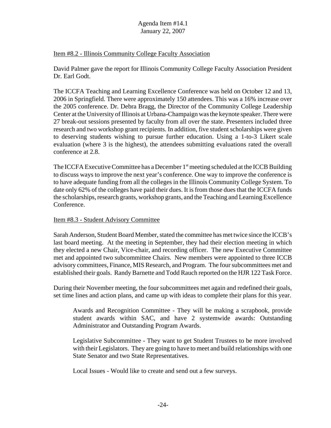#### Item #8.2 - Illinois Community College Faculty Association

David Palmer gave the report for Illinois Community College Faculty Association President Dr. Earl Godt.

The ICCFA Teaching and Learning Excellence Conference was held on October 12 and 13, 2006 in Springfield. There were approximately 150 attendees. This was a 16% increase over the 2005 conference. Dr. Debra Bragg, the Director of the Community College Leadership Center at the University of Illinois at Urbana-Champaign was the keynote speaker. There were 27 break-out sessions presented by faculty from all over the state. Presenters included three research and two workshop grant recipients. In addition, five student scholarships were given to deserving students wishing to pursue further education. Using a 1-to-3 Likert scale evaluation (where 3 is the highest), the attendees submitting evaluations rated the overall conference at 2.8.

The ICCFA Executive Committee has a December 1<sup>st</sup> meeting scheduled at the ICCB Building to discuss ways to improve the next year's conference. One way to improve the conference is to have adequate funding from all the colleges in the Illinois Community College System. To date only 62% of the colleges have paid their dues. It is from those dues that the ICCFA funds the scholarships, research grants, workshop grants, and the Teaching and Learning Excellence Conference.

## Item #8.3 - Student Advisory Committee

Sarah Anderson, Student Board Member, stated the committee has met twice since the ICCB's last board meeting. At the meeting in September, they had their election meeting in which they elected a new Chair, Vice-chair, and recording officer. The new Executive Committee met and appointed two subcommittee Chairs. New members were appointed to three ICCB advisory committees, Finance, MIS Research, and Program. The four subcommittees met and established their goals. Randy Barnette and Todd Rauch reported on the HJR 122 Task Force.

During their November meeting, the four subcommittees met again and redefined their goals, set time lines and action plans, and came up with ideas to complete their plans for this year.

Awards and Recognition Committee - They will be making a scrapbook, provide student awards within SAC, and have 2 systemwide awards: Outstanding Administrator and Outstanding Program Awards.

Legislative Subcommittee - They want to get Student Trustees to be more involved with their Legislators. They are going to have to meet and build relationships with one State Senator and two State Representatives.

Local Issues - Would like to create and send out a few surveys.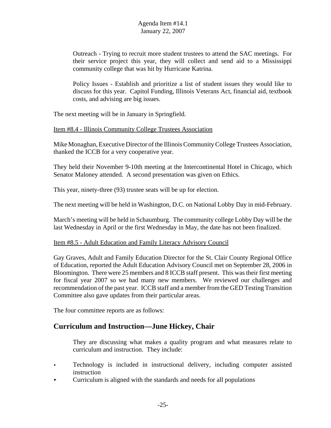Outreach - Trying to recruit more student trustees to attend the SAC meetings. For their service project this year, they will collect and send aid to a Mississippi community college that was hit by Hurricane Katrina.

Policy Issues - Establish and prioritize a list of student issues they would like to discuss for this year. Capitol Funding, Illinois Veterans Act, financial aid, textbook costs, and advising are big issues.

The next meeting will be in January in Springfield.

#### Item #8.4 - Illinois Community College Trustees Association

Mike Monaghan, Executive Director of the Illinois Community College Trustees Association, thanked the ICCB for a very cooperative year.

They held their November 9-10th meeting at the Intercontinental Hotel in Chicago, which Senator Maloney attended. A second presentation was given on Ethics.

This year, ninety-three (93) trustee seats will be up for election.

The next meeting will be held in Washington, D.C. on National Lobby Day in mid-February.

March's meeting will be held in Schaumburg. The community college Lobby Day will be the last Wednesday in April or the first Wednesday in May, the date has not been finalized.

#### Item #8.5 - Adult Education and Family Literacy Advisory Council

Gay Graves, Adult and Family Education Director for the St. Clair County Regional Office of Education, reported the Adult Education Advisory Council met on September 28, 2006 in Bloomington. There were 25 members and 8 ICCB staff present. This was their first meeting for fiscal year 2007 so we had many new members. We reviewed our challenges and recommendation of the past year. ICCB staff and a member from the GED Testing Transition Committee also gave updates from their particular areas.

The four committee reports are as follows:

# **Curriculum and Instruction—June Hickey, Chair**

They are discussing what makes a quality program and what measures relate to curriculum and instruction. They include:

- Exteed Fechnology is included in instructional delivery, including computer assisted instruction
- $\triangleright$  Curriculum is aligned with the standards and needs for all populations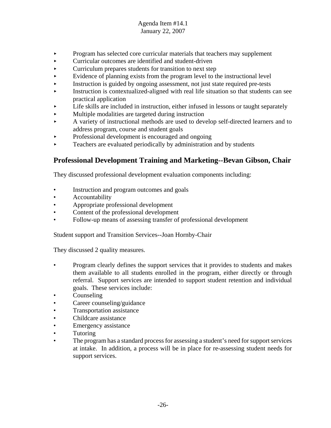- < Program has selected core curricular materials that teachers may supplement
- < Curricular outcomes are identified and student-driven
- $\triangleright$  Curriculum prepares students for transition to next step
- $\blacktriangleright$  Evidence of planning exists from the program level to the instructional level
- < Instruction is guided by ongoing assessment, not just state required pre-tests
- < Instruction is contextualized-aligned with real life situation so that students can see practical application
- < Life skills are included in instruction, either infused in lessons or taught separately
- < Multiple modalities are targeted during instruction
- < A variety of instructional methods are used to develop self-directed learners and to address program, course and student goals
- < Professional development is encouraged and ongoing
- < Teachers are evaluated periodically by administration and by students

# **Professional Development Training and Marketing--Bevan Gibson, Chair**

They discussed professional development evaluation components including:

- Instruction and program outcomes and goals
- **Accountability**
- Appropriate professional development
- Content of the professional development
- Follow-up means of assessing transfer of professional development

Student support and Transition Services--Joan Hornby-Chair

They discussed 2 quality measures.

- Program clearly defines the support services that it provides to students and makes them available to all students enrolled in the program, either directly or through referral. Support services are intended to support student retention and individual goals. These services include:
- Counseling
- Career counseling/guidance
- Transportation assistance
- Childcare assistance
- Emergency assistance
- **Tutoring**
- The program has a standard process for assessing a student's need for support services at intake. In addition, a process will be in place for re-assessing student needs for support services.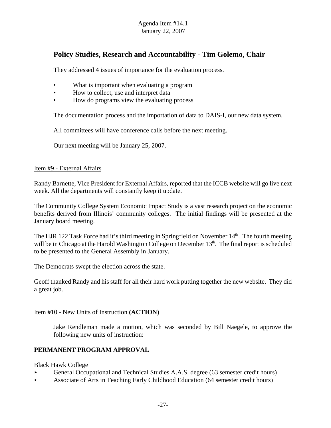# **Policy Studies, Research and Accountability - Tim Golemo, Chair**

They addressed 4 issues of importance for the evaluation process.

- What is important when evaluating a program
- How to collect, use and interpret data
- How do programs view the evaluating process

The documentation process and the importation of data to DAIS-I, our new data system.

All committees will have conference calls before the next meeting.

Our next meeting will be January 25, 2007.

#### Item #9 - External Affairs

Randy Barnette, Vice President for External Affairs, reported that the ICCB website will go live next week. All the departments will constantly keep it update.

The Community College System Economic Impact Study is a vast research project on the economic benefits derived from Illinois' community colleges. The initial findings will be presented at the January board meeting.

The HJR 122 Task Force had it's third meeting in Springfield on November  $14<sup>th</sup>$ . The fourth meeting will be in Chicago at the Harold Washington College on December 13<sup>th</sup>. The final report is scheduled to be presented to the General Assembly in January.

The Democrats swept the election across the state.

Geoff thanked Randy and his staff for all their hard work putting together the new website. They did a great job.

#### Item #10 - New Units of Instruction **(ACTION)**

Jake Rendleman made a motion, which was seconded by Bill Naegele, to approve the following new units of instruction:

## **PERMANENT PROGRAM APPROVAL**

Black Hawk College

- < General Occupational and Technical Studies A.A.S. degree (63 semester credit hours)
- < Associate of Arts in Teaching Early Childhood Education (64 semester credit hours)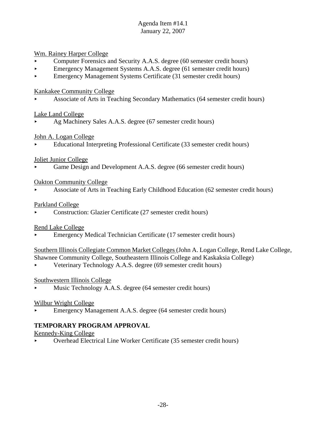Wm. Rainey Harper College

- < Computer Forensics and Security A.A.S. degree (60 semester credit hours)
- < Emergency Management Systems A.A.S. degree (61 semester credit hours)
- **Emergency Management Systems Certificate (31 semester credit hours)**

Kankakee Community College

< Associate of Arts in Teaching Secondary Mathematics (64 semester credit hours)

## Lake Land College

Ag Machinery Sales A.A.S. degree (67 semester credit hours)

# John A. Logan College

< Educational Interpreting Professional Certificate (33 semester credit hours)

# Joliet Junior College

< Game Design and Development A.A.S. degree (66 semester credit hours)

# Oakton Community College

< Associate of Arts in Teaching Early Childhood Education (62 semester credit hours)

# Parkland College

< Construction: Glazier Certificate (27 semester credit hours)

# Rend Lake College

< Emergency Medical Technician Certificate (17 semester credit hours)

Southern Illinois Collegiate Common Market Colleges (John A. Logan College, Rend Lake College, Shawnee Community College, Southeastern Illinois College and Kaskaksia College)

< Veterinary Technology A.A.S. degree (69 semester credit hours)

# Southwestern Illinois College

< Music Technology A.A.S. degree (64 semester credit hours)

# Wilbur Wright College

< Emergency Management A.A.S. degree (64 semester credit hours)

# **TEMPORARY PROGRAM APPROVAL**

Kennedy-King College

< Overhead Electrical Line Worker Certificate (35 semester credit hours)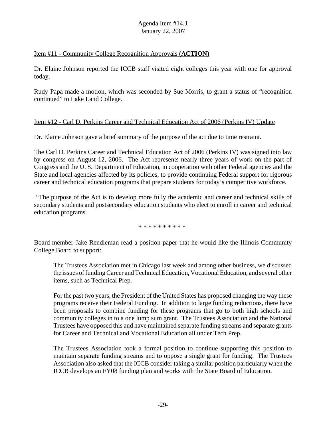#### Item #11 - Community College Recognition Approvals **(ACTION)**

Dr. Elaine Johnson reported the ICCB staff visited eight colleges this year with one for approval today.

Rudy Papa made a motion, which was seconded by Sue Morris, to grant a status of "recognition continued" to Lake Land College.

#### Item #12 - Carl D. Perkins Career and Technical Education Act of 2006 (Perkins IV) Update

Dr. Elaine Johnson gave a brief summary of the purpose of the act due to time restraint.

The Carl D. Perkins Career and Technical Education Act of 2006 (Perkins IV) was signed into law by congress on August 12, 2006. The Act represents nearly three years of work on the part of Congress and the U. S. Department of Education, in cooperation with other Federal agencies and the State and local agencies affected by its policies, to provide continuing Federal support for rigorous career and technical education programs that prepare students for today's competitive workforce.

 "The purpose of the Act is to develop more fully the academic and career and technical skills of secondary students and postsecondary education students who elect to enroll in career and technical education programs.

\* \* \* \* \* \* \* \* \* \*

Board member Jake Rendleman read a position paper that he would like the Illinois Community College Board to support:

The Trustees Association met in Chicago last week and among other business, we discussed the issues of funding Career and Technical Education, Vocational Education, and several other items, such as Technical Prep.

For the past two years, the President of the United States has proposed changing the way these programs receive their Federal Funding. In addition to large funding reductions, there have been proposals to combine funding for these programs that go to both high schools and community colleges in to a one lump sum grant. The Trustees Association and the National Trustees have opposed this and have maintained separate funding streams and separate grants for Career and Technical and Vocational Education all under Tech Prep.

The Trustees Association took a formal position to continue supporting this position to maintain separate funding streams and to oppose a single grant for funding. The Trustees Association also asked that the ICCB consider taking a similar position particularly when the ICCB develops an FY08 funding plan and works with the State Board of Education.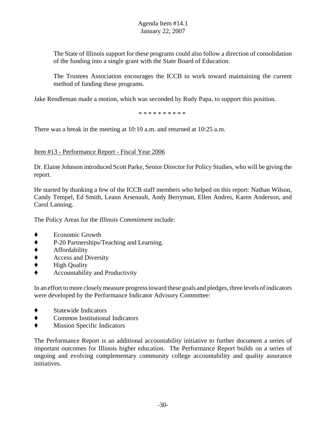The State of Illinois support for these programs could also follow a direction of consolidation of the funding into a single grant with the State Board of Education.

The Trustees Association encourages the ICCB to work toward maintaining the current method of funding these programs.

Jake Rendleman made a motion, which was seconded by Rudy Papa, to support this position.

\* \* \* \* \* \* \* \* \* \*

There was a break in the meeting at 10:10 a.m. and returned at 10:25 a.m.

## Item #13 - Performance Report - Fiscal Year 2006

Dr. Elaine Johnson introduced Scott Parke, Senior Director for Policy Studies, who will be giving the report.

He started by thanking a few of the ICCB staff members who helped on this report: Nathan Wilson, Candy Tempel, Ed Smith, Leann Arsenault, Andy Berryman, Ellen Andres, Karen Anderson, and Carol Lanning.

The Policy Areas for the *Illinois Commitment* include:

- Economic Growth
- ◆ P-20 Partnerships/Teaching and Learning.<br>◆ Affordability
- ' Affordability
- ' Access and Diversity
- ◆ High Quality
- ' Accountability and Productivity

In an effort to more closely measure progress toward these goals and pledges, three levels of indicators were developed by the Performance Indicator Advisory Committee:

- ' Statewide Indicators
- ' Common Institutional Indicators
- $\bullet$  Mission Specific Indicators

The Performance Report is an additional accountability initiative to further document a series of important outcomes for Illinois higher education. The Performance Report builds on a series of ongoing and evolving complementary community college accountability and quality assurance initiatives.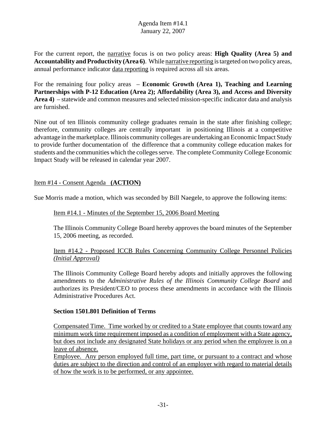For the current report, the narrative focus is on two policy areas: **High Quality (Area 5) and Accountability and Productivity (Area 6)**. While narrative reporting is targeted on two policy areas, annual performance indicator data reporting is required across all six areas.

For the remaining four policy areas – **Economic Growth (Area 1), Teaching and Learning Partnerships with P-12 Education (Area 2); Affordability (Area 3), and Access and Diversity Area 4)** – statewide and common measures and selected mission-specific indicator data and analysis are furnished.

Nine out of ten Illinois community college graduates remain in the state after finishing college; therefore, community colleges are centrally important in positioning Illinois at a competitive advantage in the marketplace. Illinois community colleges are undertaking an Economic Impact Study to provide further documentation of the difference that a community college education makes for students and the communities which the colleges serve. The complete Community College Economic Impact Study will be released in calendar year 2007.

# Item #14 - Consent Agenda **(ACTION)**

Sue Morris made a motion, which was seconded by Bill Naegele, to approve the following items:

#### Item #14.1 - Minutes of the September 15, 2006 Board Meeting

The Illinois Community College Board hereby approves the board minutes of the September 15, 2006 meeting, as recorded.

## Item #14.2 - Proposed ICCB Rules Concerning Community College Personnel Policies *(Initial Approval)*

The Illinois Community College Board hereby adopts and initially approves the following amendments to the *Administrative Rules of the Illinois Community College Board* and authorizes its President/CEO to process these amendments in accordance with the Illinois Administrative Procedures Act.

## **Section 1501.801 Definition of Terms**

Compensated Time. Time worked by or credited to a State employee that counts toward any minimum work time requirement imposed as a condition of employment with a State agency, but does not include any designated State holidays or any period when the employee is on a leave of absence.

Employee. Any person employed full time, part time, or pursuant to a contract and whose duties are subject to the direction and control of an employer with regard to material details of how the work is to be performed, or any appointee.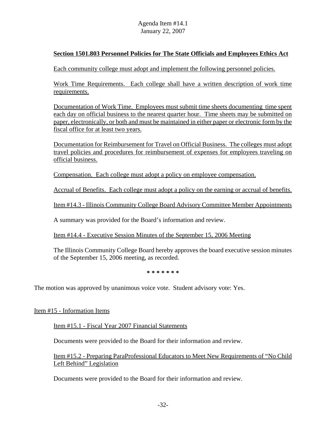## **Section 1501.803 Personnel Policies for The State Officials and Employees Ethics Act**

Each community college must adopt and implement the following personnel policies.

Work Time Requirements. Each college shall have a written description of work time requirements.

Documentation of Work Time. Employees must submit time sheets documenting time spent each day on official business to the nearest quarter hour. Time sheets may be submitted on paper, electronically, or both and must be maintained in either paper or electronic form by the fiscal office for at least two years.

Documentation for Reimbursement for Travel on Official Business. The colleges must adopt travel policies and procedures for reimbursement of expenses for employees traveling on official business.

Compensation. Each college must adopt a policy on employee compensation.

Accrual of Benefits. Each college must adopt a policy on the earning or accrual of benefits.

Item #14.3 - Illinois Community College Board Advisory Committee Member Appointments

A summary was provided for the Board's information and review.

Item #14.4 - Executive Session Minutes of the September 15, 2006 Meeting

The Illinois Community College Board hereby approves the board executive session minutes of the September 15, 2006 meeting, as recorded.

**\* \* \* \* \* \* \***

The motion was approved by unanimous voice vote. Student advisory vote: Yes.

Item #15 - Information Items

Item #15.1 - Fiscal Year 2007 Financial Statements

Documents were provided to the Board for their information and review.

Item #15.2 - Preparing ParaProfessional Educators to Meet New Requirements of "No Child Left Behind" Legislation

Documents were provided to the Board for their information and review.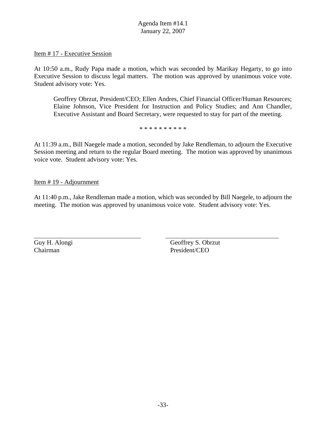Item # 17 - Executive Session

At 10:50 a.m., Rudy Papa made a motion, which was seconded by Marikay Hegarty, to go into Executive Session to discuss legal matters. The motion was approved by unanimous voice vote. Student advisory vote: Yes.

Geoffrey Obrzut, President/CEO; Ellen Andres, Chief Financial Officer/Human Resources; Elaine Johnson, Vice President for Instruction and Policy Studies; and Ann Chandler, Executive Assistant and Board Secretary, were requested to stay for part of the meeting.

\* \* \* \* \* \* \* \* \* \*

At 11:39 a.m., Bill Naegele made a motion, seconded by Jake Rendleman, to adjourn the Executive Session meeting and return to the regular Board meeting. The motion was approved by unanimous voice vote. Student advisory vote: Yes.

Item # 19 - Adjournment

At 11:40 p.m., Jake Rendleman made a motion, which was seconded by Bill Naegele, to adjourn the meeting. The motion was approved by unanimous voice vote. Student advisory vote: Yes.

Chairman President/CEO

Guy H. Alongi Geoffrey S. Obrzut